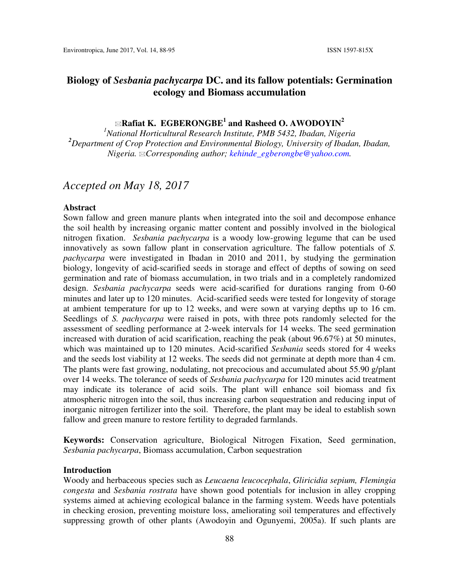# $\boxtimes$  **Rafiat K. EGBERONGBE<sup>1</sup> and Rasheed O. AWODOYIN<sup>2</sup>**

*<sup>1</sup>National Horticultural Research Institute, PMB 5432, Ibadan, Nigeria <sup>2</sup>Department of Crop Protection and Environmental Biology, University of Ibadan, Ibadan, Nigeria. Corresponding author; kehinde\_egberongbe@yahoo.com.* 

# *Accepted on May 18, 2017*

### **Abstract**

Sown fallow and green manure plants when integrated into the soil and decompose enhance the soil health by increasing organic matter content and possibly involved in the biological nitrogen fixation. *Sesbania pachycarpa* is a woody low-growing legume that can be used innovatively as sown fallow plant in conservation agriculture. The fallow potentials of *S. pachycarpa* were investigated in Ibadan in 2010 and 2011, by studying the germination biology, longevity of acid-scarified seeds in storage and effect of depths of sowing on seed germination and rate of biomass accumulation, in two trials and in a completely randomized design. *Sesbania pachycarpa* seeds were acid-scarified for durations ranging from 0-60 minutes and later up to 120 minutes. Acid-scarified seeds were tested for longevity of storage at ambient temperature for up to 12 weeks, and were sown at varying depths up to 16 cm. Seedlings of *S. pachycarpa* were raised in pots, with three pots randomly selected for the assessment of seedling performance at 2-week intervals for 14 weeks. The seed germination increased with duration of acid scarification, reaching the peak (about 96.67%) at 50 minutes, which was maintained up to 120 minutes. Acid-scarified *Sesbania* seeds stored for 4 weeks and the seeds lost viability at 12 weeks. The seeds did not germinate at depth more than 4 cm. The plants were fast growing, nodulating, not precocious and accumulated about 55.90 g/plant over 14 weeks. The tolerance of seeds of *Sesbania pachycarpa* for 120 minutes acid treatment may indicate its tolerance of acid soils. The plant will enhance soil biomass and fix atmospheric nitrogen into the soil, thus increasing carbon sequestration and reducing input of inorganic nitrogen fertilizer into the soil. Therefore, the plant may be ideal to establish sown fallow and green manure to restore fertility to degraded farmlands.

**Keywords:** Conservation agriculture, Biological Nitrogen Fixation, Seed germination, *Sesbania pachycarpa*, Biomass accumulation, Carbon sequestration

#### **Introduction**

Woody and herbaceous species such as *Leucaena leucocephala*, *Gliricidia sepium, Flemingia congesta* and *Sesbania rostrata* have shown good potentials for inclusion in alley cropping systems aimed at achieving ecological balance in the farming system. Weeds have potentials in checking erosion, preventing moisture loss, ameliorating soil temperatures and effectively suppressing growth of other plants (Awodoyin and Ogunyemi, 2005a). If such plants are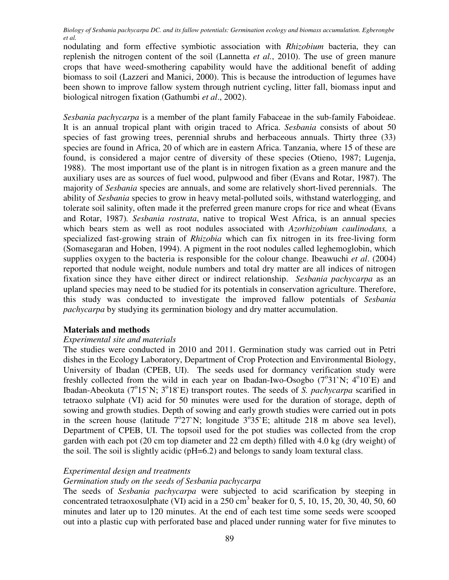nodulating and form effective symbiotic association with *Rhizobium* bacteria, they can replenish the nitrogen content of the soil (Lannetta *et al.*, 2010). The use of green manure crops that have weed-smothering capability would have the additional benefit of adding biomass to soil (Lazzeri and Manici, 2000). This is because the introduction of legumes have been shown to improve fallow system through nutrient cycling, litter fall, biomass input and biological nitrogen fixation (Gathumbi *et al*., 2002).

*Sesbania pachycarpa* is a member of the plant family Fabaceae in the sub-family Faboideae. It is an annual tropical plant with origin traced to Africa. *Sesbania* consists of about 50 species of fast growing trees, perennial shrubs and herbaceous annuals. Thirty three (33) species are found in Africa, 20 of which are in eastern Africa. Tanzania, where 15 of these are found, is considered a major centre of diversity of these species (Otieno, 1987; Lugenja, 1988). The most important use of the plant is in nitrogen fixation as a green manure and the auxiliary uses are as sources of fuel wood, pulpwood and fiber (Evans and Rotar, 1987). The majority of *Sesbania* species are annuals, and some are relatively short-lived perennials. The ability of *Sesbania* species to grow in heavy metal-polluted soils, withstand waterlogging, and tolerate soil salinity, often made it the preferred green manure crops for rice and wheat (Evans and Rotar, 1987)*. Sesbania rostrata*, native to tropical West Africa, is an annual species which bears stem as well as root nodules associated with *Azorhizobium caulinodans,* a specialized fast-growing strain of *Rhizobia* which can fix nitrogen in its free-living form (Somasegaran and Hoben, 1994). A pigment in the root nodules called leghemoglobin, which supplies oxygen to the bacteria is responsible for the colour change. Ibeawuchi *et al*. (2004) reported that nodule weight, nodule numbers and total dry matter are all indices of nitrogen fixation since they have either direct or indirect relationship. *Sesbania pachycarpa* as an upland species may need to be studied for its potentials in conservation agriculture. Therefore, this study was conducted to investigate the improved fallow potentials of *Sesbania pachycarpa* by studying its germination biology and dry matter accumulation.

#### **Materials and methods**

#### *Experimental site and materials*

The studies were conducted in 2010 and 2011. Germination study was carried out in Petri dishes in the Ecology Laboratory, Department of Crop Protection and Environmental Biology, University of Ibadan (CPEB, UI). The seeds used for dormancy verification study were freshly collected from the wild in each year on Ibadan-Iwo-Osogbo  $(7^{\circ}31^{\circ}N; 4^{\circ}10^{\circ}E)$  and Ibadan-Abeokuta (7<sup>o</sup>15`N; 3<sup>o</sup>18`E) transport routes. The seeds of *S. pachycarpa* scarified in tetraoxo sulphate (VI) acid for 50 minutes were used for the duration of storage, depth of sowing and growth studies. Depth of sowing and early growth studies were carried out in pots in the screen house (latitude  $7^{\circ}27^{\circ}N$ ; longitude  $3^{\circ}35^{\circ}E$ ; altitude 218 m above sea level), Department of CPEB, UI. The topsoil used for the pot studies was collected from the crop garden with each pot (20 cm top diameter and 22 cm depth) filled with 4.0 kg (dry weight) of the soil. The soil is slightly acidic (pH=6.2) and belongs to sandy loam textural class.

## *Experimental design and treatments*

## *Germination study on the seeds of Sesbania pachycarpa*

The seeds of *Sesbania pachycarpa* were subjected to acid scarification by steeping in concentrated tetraoxosulphate (VI) acid in a  $250 \text{ cm}^3$  beaker for 0, 5, 10, 15, 20, 30, 40, 50, 60 minutes and later up to 120 minutes. At the end of each test time some seeds were scooped out into a plastic cup with perforated base and placed under running water for five minutes to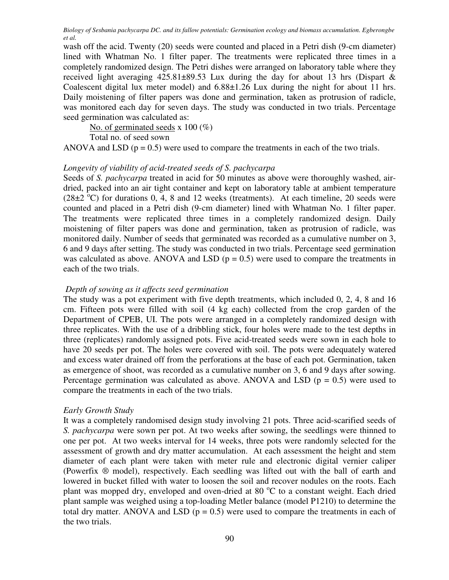wash off the acid. Twenty (20) seeds were counted and placed in a Petri dish (9-cm diameter) lined with Whatman No. 1 filter paper. The treatments were replicated three times in a completely randomized design. The Petri dishes were arranged on laboratory table where they received light averaging  $425.81 \pm 89.53$  Lux during the day for about 13 hrs (Dispart & Coalescent digital lux meter model) and 6.88±1.26 Lux during the night for about 11 hrs. Daily moistening of filter papers was done and germination, taken as protrusion of radicle, was monitored each day for seven days. The study was conducted in two trials. Percentage seed germination was calculated as:

No. of germinated seeds x  $100 \ (\%)$ 

Total no. of seed sown

ANOVA and LSD  $(p = 0.5)$  were used to compare the treatments in each of the two trials.

#### *Longevity of viability of acid-treated seeds of S. pachycarpa*

Seeds of *S. pachycarpa* treated in acid for 50 minutes as above were thoroughly washed, airdried, packed into an air tight container and kept on laboratory table at ambient temperature ( $28\pm2$  °C) for durations 0, 4, 8 and 12 weeks (treatments). At each timeline, 20 seeds were counted and placed in a Petri dish (9-cm diameter) lined with Whatman No. 1 filter paper. The treatments were replicated three times in a completely randomized design. Daily moistening of filter papers was done and germination, taken as protrusion of radicle, was monitored daily. Number of seeds that germinated was recorded as a cumulative number on 3, 6 and 9 days after setting. The study was conducted in two trials. Percentage seed germination was calculated as above. ANOVA and LSD  $(p = 0.5)$  were used to compare the treatments in each of the two trials.

### *Depth of sowing as it affects seed germination*

The study was a pot experiment with five depth treatments, which included 0, 2, 4, 8 and 16 cm. Fifteen pots were filled with soil (4 kg each) collected from the crop garden of the Department of CPEB, UI. The pots were arranged in a completely randomized design with three replicates. With the use of a dribbling stick, four holes were made to the test depths in three (replicates) randomly assigned pots. Five acid-treated seeds were sown in each hole to have 20 seeds per pot. The holes were covered with soil. The pots were adequately watered and excess water drained off from the perforations at the base of each pot. Germination, taken as emergence of shoot, was recorded as a cumulative number on 3, 6 and 9 days after sowing. Percentage germination was calculated as above. ANOVA and LSD ( $p = 0.5$ ) were used to compare the treatments in each of the two trials.

### *Early Growth Study*

It was a completely randomised design study involving 21 pots. Three acid-scarified seeds of *S. pachycarpa* were sown per pot. At two weeks after sowing, the seedlings were thinned to one per pot. At two weeks interval for 14 weeks, three pots were randomly selected for the assessment of growth and dry matter accumulation. At each assessment the height and stem diameter of each plant were taken with meter rule and electronic digital vernier caliper (Powerfix ® model), respectively. Each seedling was lifted out with the ball of earth and lowered in bucket filled with water to loosen the soil and recover nodules on the roots. Each plant was mopped dry, enveloped and oven-dried at 80  $^{\circ}$ C to a constant weight. Each dried plant sample was weighed using a top-loading Metler balance (model P1210) to determine the total dry matter. ANOVA and LSD ( $p = 0.5$ ) were used to compare the treatments in each of the two trials.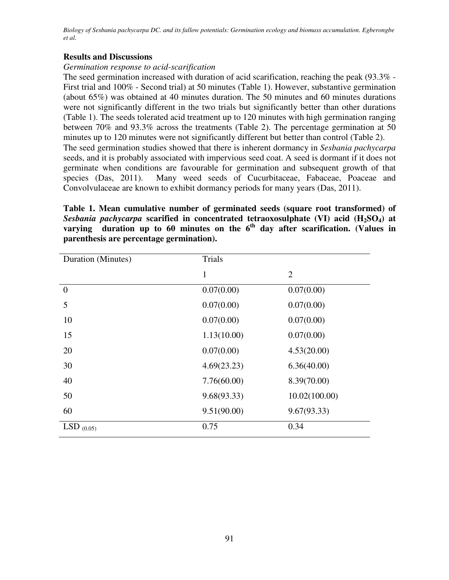## **Results and Discussions**

### *Germination response to acid-scarification*

The seed germination increased with duration of acid scarification, reaching the peak (93.3% - First trial and 100% - Second trial) at 50 minutes (Table 1). However, substantive germination (about 65%) was obtained at 40 minutes duration. The 50 minutes and 60 minutes durations were not significantly different in the two trials but significantly better than other durations (Table 1). The seeds tolerated acid treatment up to 120 minutes with high germination ranging between 70% and 93.3% across the treatments (Table 2). The percentage germination at 50 minutes up to 120 minutes were not significantly different but better than control (Table 2). The seed germination studies showed that there is inherent dormancy in *Sesbania pachycarpa*  seeds, and it is probably associated with impervious seed coat. A seed is dormant if it does not germinate when conditions are favourable for germination and subsequent growth of that species (Das, 2011). Many weed seeds of Cucurbitaceae, Fabaceae, Poaceae and Convolvulaceae are known to exhibit dormancy periods for many years (Das, 2011).

**Table 1. Mean cumulative number of germinated seeds (square root transformed) of**  *Sesbania pachycarpa* **scarified in concentrated tetraoxosulphate (VI) acid (H2SO4) at**  varying duration up to 60 minutes on the 6<sup>th</sup> day after scarification. (Values in **parenthesis are percentage germination).** 

| Duration (Minutes) | <b>Trials</b> |                |  |  |
|--------------------|---------------|----------------|--|--|
|                    | 1             | $\overline{2}$ |  |  |
| $\theta$           | 0.07(0.00)    | 0.07(0.00)     |  |  |
| 5                  | 0.07(0.00)    | 0.07(0.00)     |  |  |
| 10                 | 0.07(0.00)    | 0.07(0.00)     |  |  |
| 15                 | 1.13(10.00)   | 0.07(0.00)     |  |  |
| 20                 | 0.07(0.00)    | 4.53(20.00)    |  |  |
| 30                 | 4.69(23.23)   | 6.36(40.00)    |  |  |
| 40                 | 7.76(60.00)   | 8.39(70.00)    |  |  |
| 50                 | 9.68(93.33)   | 10.02(100.00)  |  |  |
| 60                 | 9.51(90.00)   | 9.67(93.33)    |  |  |
| LSD $(0.05)$       | 0.75          | 0.34           |  |  |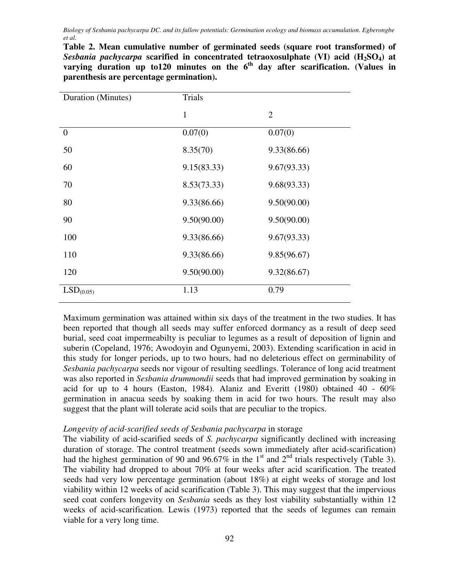**Table 2. Mean cumulative number of germinated seeds (square root transformed) of**  *Sesbania pachycarpa* **scarified in concentrated tetraoxosulphate (VI) acid (H2SO4) at**  varying duration up to120 minutes on the 6<sup>th</sup> day after scarification. (Values in **parenthesis are percentage germination).** 

| Duration (Minutes)    | Trials      |                |  |  |
|-----------------------|-------------|----------------|--|--|
|                       | 1           | $\overline{2}$ |  |  |
| $\overline{0}$        | 0.07(0)     | 0.07(0)        |  |  |
| 50                    | 8.35(70)    | 9.33(86.66)    |  |  |
| 60                    | 9.15(83.33) | 9.67(93.33)    |  |  |
| 70                    | 8.53(73.33) | 9.68(93.33)    |  |  |
| 80                    | 9.33(86.66) | 9.50(90.00)    |  |  |
| 90                    | 9.50(90.00) | 9.50(90.00)    |  |  |
| 100                   | 9.33(86.66) | 9.67(93.33)    |  |  |
| 110                   | 9.33(86.66) | 9.85(96.67)    |  |  |
| 120                   | 9.50(90.00) | 9.32(86.67)    |  |  |
| LSD <sub>(0.05)</sub> | 1.13        | 0.79           |  |  |

Maximum germination was attained within six days of the treatment in the two studies. It has been reported that though all seeds may suffer enforced dormancy as a result of deep seed burial, seed coat impermeabilty is peculiar to legumes as a result of deposition of lignin and suberin (Copeland, 1976; Awodoyin and Ogunyemi, 2003). Extending scarification in acid in this study for longer periods, up to two hours, had no deleterious effect on germinability of *Sesbania pachycarpa* seeds nor vigour of resulting seedlings. Tolerance of long acid treatment was also reported in *Sesbania drummondii* seeds that had improved germination by soaking in acid for up to 4 hours (Easton, 1984). Alaniz and Everitt (1980) obtained 40 - 60% germination in anacua seeds by soaking them in acid for two hours. The result may also suggest that the plant will tolerate acid soils that are peculiar to the tropics.

#### *Longevity of acid-scarified seeds of Sesbania pachycarpa* in storage

The viability of acid-scarified seeds of *S. pachycarpa* significantly declined with increasing duration of storage. The control treatment (seeds sown immediately after acid-scarification) had the highest germination of 90 and 96.67% in the 1<sup>st</sup> and  $2<sup>nd</sup>$  trials respectively (Table 3). The viability had dropped to about 70% at four weeks after acid scarification. The treated seeds had very low percentage germination (about 18%) at eight weeks of storage and lost viability within 12 weeks of acid scarification (Table 3). This may suggest that the impervious seed coat confers longevity on *Sesbania* seeds as they lost viability substantially within 12 weeks of acid-scarification. Lewis (1973) reported that the seeds of legumes can remain viable for a very long time.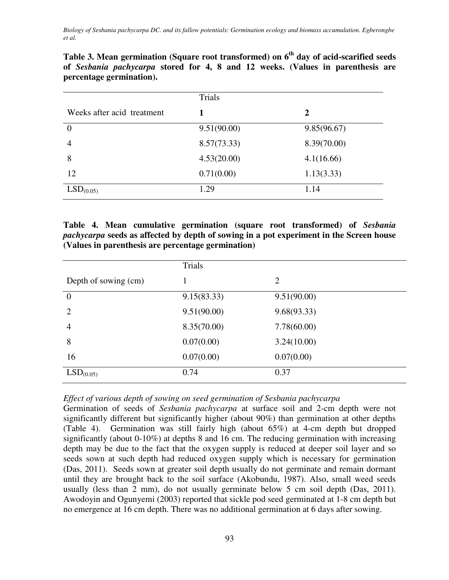|                            | Trials      |             |
|----------------------------|-------------|-------------|
| Weeks after acid treatment |             | 2           |
| $\theta$                   | 9.51(90.00) | 9.85(96.67) |
| $\overline{4}$             | 8.57(73.33) | 8.39(70.00) |
| 8                          | 4.53(20.00) | 4.1(16.66)  |
| 12                         | 0.71(0.00)  | 1.13(3.33)  |
| LSD <sub>(0.05)</sub>      | 1.29        | 1.14        |

**Table 3. Mean germination (Square root transformed) on 6th day of acid-scarified seeds of** *Sesbania pachycarpa* **stored for 4, 8 and 12 weeks. (Values in parenthesis are percentage germination).** 

**Table 4. Mean cumulative germination (square root transformed) of** *Sesbania pachycarpa* **seeds as affected by depth of sowing in a pot experiment in the Screen house (Values in parenthesis are percentage germination)** 

|                       | Trials      |                |
|-----------------------|-------------|----------------|
| Depth of sowing (cm)  |             | $\overline{2}$ |
| $\theta$              | 9.15(83.33) | 9.51(90.00)    |
| $\overline{2}$        | 9.51(90.00) | 9.68(93.33)    |
| 4                     | 8.35(70.00) | 7.78(60.00)    |
| 8                     | 0.07(0.00)  | 3.24(10.00)    |
| 16                    | 0.07(0.00)  | 0.07(0.00)     |
| LSD <sub>(0.05)</sub> | 0.74        | 0.37           |

*Effect of various depth of sowing on seed germination of Sesbania pachycarpa* 

Germination of seeds of *Sesbania pachycarpa* at surface soil and 2-cm depth were not significantly different but significantly higher (about 90%) than germination at other depths (Table 4). Germination was still fairly high (about 65%) at 4-cm depth but dropped significantly (about 0-10%) at depths 8 and 16 cm. The reducing germination with increasing depth may be due to the fact that the oxygen supply is reduced at deeper soil layer and so seeds sown at such depth had reduced oxygen supply which is necessary for germination (Das, 2011). Seeds sown at greater soil depth usually do not germinate and remain dormant until they are brought back to the soil surface (Akobundu, 1987). Also, small weed seeds usually (less than 2 mm), do not usually germinate below 5 cm soil depth (Das, 2011). Awodoyin and Ogunyemi (2003) reported that sickle pod seed germinated at 1-8 cm depth but no emergence at 16 cm depth. There was no additional germination at 6 days after sowing.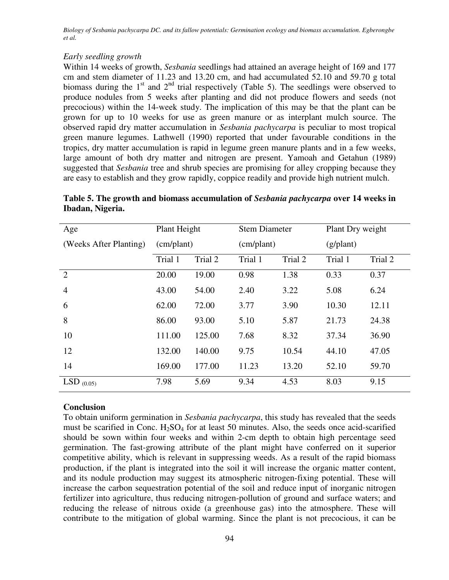### *Early seedling growth*

Within 14 weeks of growth, *Sesbania* seedlings had attained an average height of 169 and 177 cm and stem diameter of 11.23 and 13.20 cm, and had accumulated 52.10 and 59.70 g total biomass during the  $1<sup>st</sup>$  and  $2<sup>nd</sup>$  trial respectively (Table 5). The seedlings were observed to produce nodules from 5 weeks after planting and did not produce flowers and seeds (not precocious) within the 14-week study. The implication of this may be that the plant can be grown for up to 10 weeks for use as green manure or as interplant mulch source. The observed rapid dry matter accumulation in *Sesbania pachycarpa* is peculiar to most tropical green manure legumes. Lathwell (1990) reported that under favourable conditions in the tropics, dry matter accumulation is rapid in legume green manure plants and in a few weeks, large amount of both dry matter and nitrogen are present. Yamoah and Getahun (1989) suggested that *Sesbania* tree and shrub species are promising for alley cropping because they are easy to establish and they grow rapidly, coppice readily and provide high nutrient mulch.

| Age                    | Plant Height |         | <b>Stem Diameter</b> |         | Plant Dry weight |         |
|------------------------|--------------|---------|----------------------|---------|------------------|---------|
| (Weeks After Planting) | (cm/plant)   |         | (cm/plant)           |         | (g/plant)        |         |
|                        | Trial 1      | Trial 2 | Trial 1              | Trial 2 | Trial 1          | Trial 2 |
| 2                      | 20.00        | 19.00   | 0.98                 | 1.38    | 0.33             | 0.37    |
| $\overline{4}$         | 43.00        | 54.00   | 2.40                 | 3.22    | 5.08             | 6.24    |
| 6                      | 62.00        | 72.00   | 3.77                 | 3.90    | 10.30            | 12.11   |
| 8                      | 86.00        | 93.00   | 5.10                 | 5.87    | 21.73            | 24.38   |
| 10                     | 111.00       | 125.00  | 7.68                 | 8.32    | 37.34            | 36.90   |
| 12                     | 132.00       | 140.00  | 9.75                 | 10.54   | 44.10            | 47.05   |
| 14                     | 169.00       | 177.00  | 11.23                | 13.20   | 52.10            | 59.70   |
| $LSD_{(0.05)}$         | 7.98         | 5.69    | 9.34                 | 4.53    | 8.03             | 9.15    |

**Table 5. The growth and biomass accumulation of** *Sesbania pachycarpa* **over 14 weeks in Ibadan, Nigeria.** 

## **Conclusion**

To obtain uniform germination in *Sesbania pachycarpa*, this study has revealed that the seeds must be scarified in Conc.  $H_2SO_4$  for at least 50 minutes. Also, the seeds once acid-scarified should be sown within four weeks and within 2-cm depth to obtain high percentage seed germination. The fast-growing attribute of the plant might have conferred on it superior competitive ability, which is relevant in suppressing weeds. As a result of the rapid biomass production, if the plant is integrated into the soil it will increase the organic matter content, and its nodule production may suggest its atmospheric nitrogen-fixing potential. These will increase the carbon sequestration potential of the soil and reduce input of inorganic nitrogen fertilizer into agriculture, thus reducing nitrogen-pollution of ground and surface waters; and reducing the release of nitrous oxide (a greenhouse gas) into the atmosphere. These will contribute to the mitigation of global warming. Since the plant is not precocious, it can be